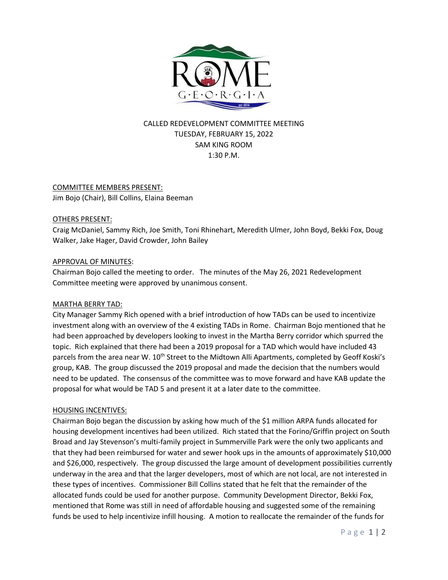

# CALLED REDEVELOPMENT COMMITTEE MEETING TUESDAY, FEBRUARY 15, 2022 SAM KING ROOM 1:30 P.M.

# COMMITTEE MEMBERS PRESENT:

Jim Bojo (Chair), Bill Collins, Elaina Beeman

#### OTHERS PRESENT:

Craig McDaniel, Sammy Rich, Joe Smith, Toni Rhinehart, Meredith Ulmer, John Boyd, Bekki Fox, Doug Walker, Jake Hager, David Crowder, John Bailey

#### APPROVAL OF MINUTES:

Chairman Bojo called the meeting to order. The minutes of the May 26, 2021 Redevelopment Committee meeting were approved by unanimous consent.

#### MARTHA BERRY TAD:

City Manager Sammy Rich opened with a brief introduction of how TADs can be used to incentivize investment along with an overview of the 4 existing TADs in Rome. Chairman Bojo mentioned that he had been approached by developers looking to invest in the Martha Berry corridor which spurred the topic. Rich explained that there had been a 2019 proposal for a TAD which would have included 43 parcels from the area near W. 10<sup>th</sup> Street to the Midtown Alli Apartments, completed by Geoff Koski's group, KAB. The group discussed the 2019 proposal and made the decision that the numbers would need to be updated. The consensus of the committee was to move forward and have KAB update the proposal for what would be TAD 5 and present it at a later date to the committee.

#### HOUSING INCENTIVES:

Chairman Bojo began the discussion by asking how much of the \$1 million ARPA funds allocated for housing development incentives had been utilized. Rich stated that the Forino/Griffin project on South Broad and Jay Stevenson's multi-family project in Summerville Park were the only two applicants and that they had been reimbursed for water and sewer hook ups in the amounts of approximately \$10,000 and \$26,000, respectively. The group discussed the large amount of development possibilities currently underway in the area and that the larger developers, most of which are not local, are not interested in these types of incentives. Commissioner Bill Collins stated that he felt that the remainder of the allocated funds could be used for another purpose. Community Development Director, Bekki Fox, mentioned that Rome was still in need of affordable housing and suggested some of the remaining funds be used to help incentivize infill housing. A motion to reallocate the remainder of the funds for